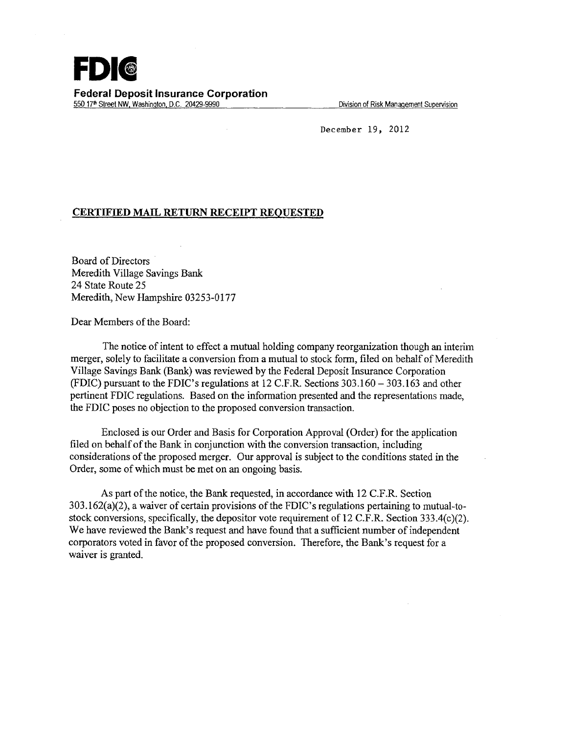December 19, 2012

## **CERTIFIED MAIL RETURN RECEIPT REQUESTED**

Board of Directors Meredith Village Savings Bank 24 State Route 25 Meredith, New Hampshire 03253-0177

Dear Members of the Board:

The notice of intent to effect a mutual holding company reorganization though an interim merger, solely to facilitate a conversion from a mutual to stock form, filed on behalf of Meredith Village Savings Bank (Bank) was reviewed by the Federal Deposit Insurance Corporation (FDIC) pursuant to the FDIC's regulations at 12 C.F.R. Sections 303.160-303.163 and other pertinent FDIC regulations. Based on the information presented and the representations made, the FDIC poses no objection to the proposed conversion transaction.

Enclosed is our Order and Basis for Corporation Approval (Order) for the application filed on behalf of the Bank in conjunction with the conversion transaction, including considerations of the proposed merger. Our approval is subject to the conditions stated in the Order, some of which must be met on an ongoing basis.

As part of the notice, the Bank requested, in accordance with 12 C.F.R. Section 303.162(a)(2), a waiver of certain provisions of the FDIC' s regulations pertaining to mutual-tostock conversions, specifically, the depositor vote requirement of 12 C.F.R. Section 333.4(c)(2). We have reviewed the Bank's request and have found that a sufficient number of independent corporators voted in favor of the proposed conversion. Therefore, the Bank's request for a waiver is granted.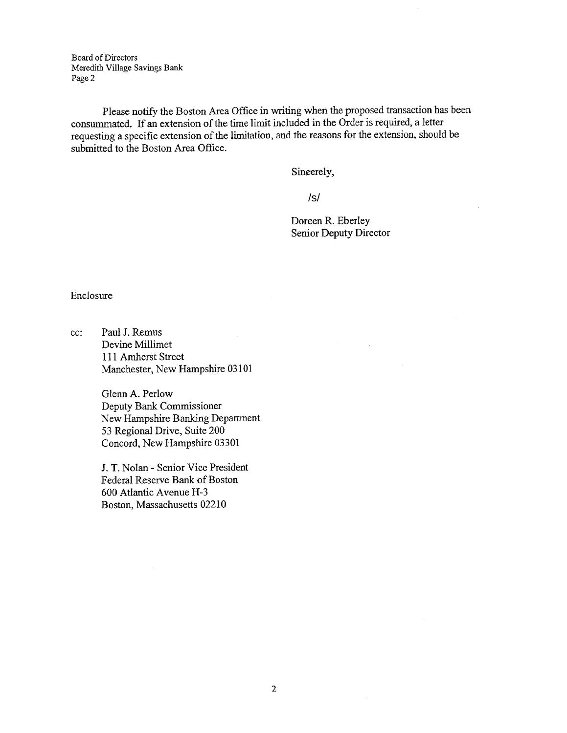Board of Directors Meredith Village Savings Bank Page 2

Please notify the Boston Area Office in writing when the proposed transaction has been consummated. If an extension of the time limit included in the Order is required, a letter requesting a specific extension of the limitation, and the reasons for the extension, should be submitted to the Boston Area Office.

Sincerely,

/s/

Doreen R. Eberley Senior Deputy Director

Enclosure

cc: Paul J. Remus Devine Millimet 111 Amherst Street Manchester, New Hampshire 03101

> Glenn A. Perlow Deputy Bank Commissioner New Hampshire Banking Department 53 Regional Drive, Suite 200 Concord, New Hampshire 03301

J. T. Nolan - Senior Vice President Federal Reserve Bank of Boston 600 Atlantic Avenue H-3 Boston, Massachusetts 02210

 $\bar{\nu}$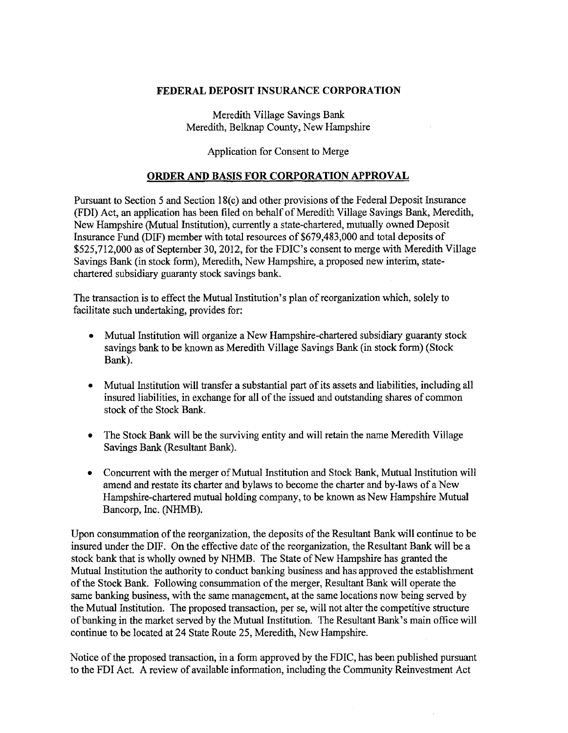## FEDERAL DEPOSIT INSURANCE CORPORATION

Meredith Village Savings Bank Meredith, Belknap County, New Hampshire

Application for Consent to Merge

## ORDER AND BASIS FOR CORPORATION APPROVAL

Pursuant to Section 5 and Section 18(c) and other provisions of the Federal Deposit Insurance (FDI) Act, an application has been filed on behalf of Meredith Village Savings Bank, Meredith, New Hampshire (Mutual Institution), currently a state-chartered, mutually owned Deposit Insurance Fund (DIF) member with total resources of \$679,483,000 and total deposits of \$525,712,000 as of September 30,2012, for the FDIC's consent to merge with Meredith Village Savings Bank (in stock form), Meredith, New Hampshire, a proposed new interim, statechartered subsidiary guaranty stock savings bank.

The transaction is to effect the Mutual Institution's plan of reorganization which, solely to facilitate such undertaking, provides for:

- Mutual Institution will organize a New Hampshire-chartered subsidiary guaranty stock savings bank to be known as Meredith Village Savings Bank (in stock form) (Stock Bank).
- Mutual Institution will transfer a substantial part of its assets and liabilities, including all insured liabilities, in exchange for all of the issued and outstanding shares of common stock of the Stock Bank.
- The Stock Bank will be the surviving entity and will retain the name Meredith Village Savings Bank (Resultant Bank).
- Concurrent with the merger of Mutual Institution and Stock Bank, Mutual Institution will amend and restate its charter and bylaws to become the charter and by-laws of a New Hampshire-chartered mutual holding company, to be known as New Hampshire Mutual Bancorp, Inc. (NHMB).

Upon consummation of the reorganization, the deposits of the Resultant Bank will continue to be insured under the DIF. On the effective date of the reorganization, the Resultant Bank will be a stock bank that is wholly owned by NHMB. The State of New Hampshire has granted the Mutual Institution the authority to conduct banking business and has approved the establishment of the Stock Bank. Following consummation of the merger, Resultant Bank will operate the same banking business, with the same management, at the same locations now being served by the Mutual Institution. The proposed transaction, per se, will not alter the competitive structure of banking in the market served by the Mutual Institution. The Resultant Bank's main office will continue to be located at 24 State Route 25, Meredith, New Hampshire.

Notice of the proposed transaction, in a form approved by the FDIC, has been published pursuant to the FDI Act. A review of available information, including the Community Reinvestment Act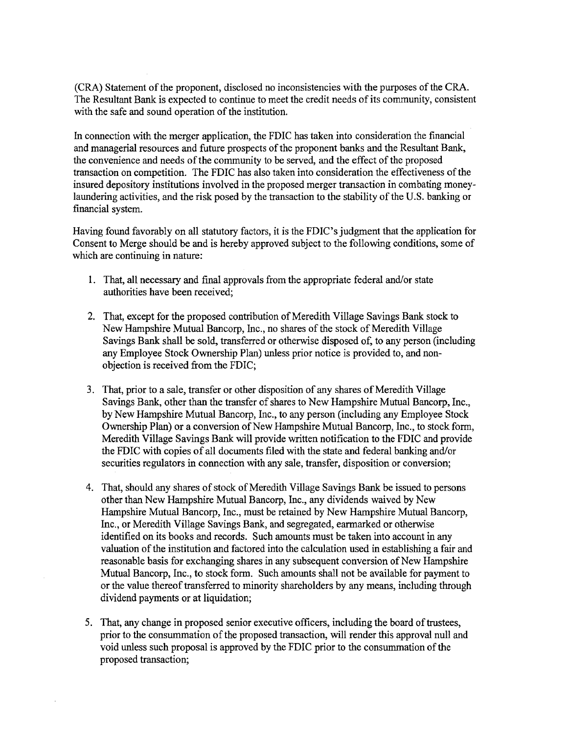(CRA) Statement of the proponent, disclosed no inconsistencies with the purposes of the CRA. The Resultant Bank is expected to continue to meet the credit needs of its community, consistent with the safe and sound operation of the institution.

In connection with the merger application, the FDIC has taken into consideration the financial and managerial resources and future prospects of the proponent banks and the Resultant Bank, the convenience and needs of the community to be served, and the effect of the proposed transaction on competition. The FDIC has also taken into consideration the effectiveness of the insured depository institutions involved in the proposed merger transaction in combating moneylaundering activities, and the risk posed by the transaction to the stability of the U.S. banking or financial system.

Having found favorably on all statutory factors, it is the FDIC's judgment that the application for Consent to Merge should be and is hereby approved subject to the following conditions, some of which are continuing in nature:

- 1. That, all necessary and final approvals from the appropriate federal and/or state authorities have been received;
- 2. That, except for the proposed contribution of Meredith Village Savings Bank stock to New Hampshire Mutual Bancorp, Inc., no shares of the stock of Meredith Village Savings Bank shall be sold, transferred or otherwise disposed of, to any person (including any Employee Stock Ownership Plan) unless prior notice is provided to, and nonobjection is received from the FDIC;
- 3. That, prior to a sale, transfer or other disposition of any shares of Meredith Village Savings Bank, other than the transfer of shares to New Hampshire Mutual Bancorp, Inc., by New Hampshire Mutual Bancorp, Inc., to any person (including any Employee Stock Ownership Plan) or a conversion of New Hampshire Mutual Bancorp, Inc., to stock form, Meredith Village Savings Bank will provide written notification to the FDIC and provide the FDIC with copies of all documents filed with the state and federal banking and/or securities regulators in connection with any sale, transfer, disposition or conversion;
- 4. That, should any shares of stock of Meredith Village Savings Bank be issued to persons other than New Hampshire Mutual Bancorp, Inc., any dividends waived by New Hampshire Mutual Bancorp, Inc., must be retained by New Hampshire Mutual Bancorp, Inc., or Meredith Village Savings Bank, and segregated, earmarked or otherwise identified on its books and records. Such amounts must be taken into account in any valuation of the institution and factored into the calculation used in establishing a fair and reasonable basis for exchanging shares in any subsequent conversion of New Hampshire Mutual Bancorp, Inc., to stock form. Such amounts shall not be available for payment to or the value thereof transferred to minority shareholders by any means, including through dividend payments or at liquidation;
- 5. That, any change in proposed senior executive officers, including the board of trustees, prior to the consummation of the proposed transaction, will render this approval null and void unless such proposal is approved by the FDIC prior to the consummation of the proposed transaction;